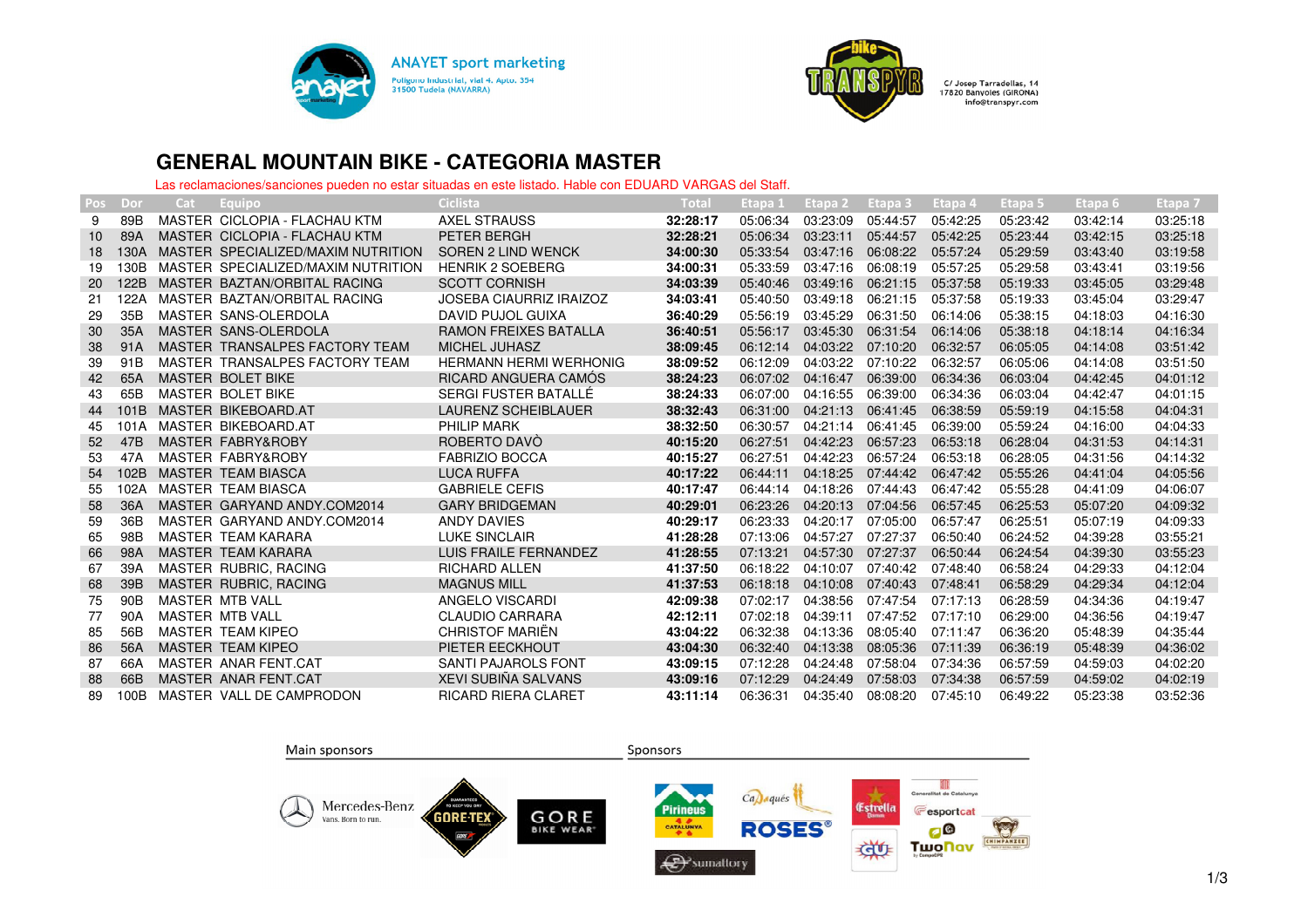



## **GENERAL MOUNTAIN BIKE - CATEGORIA MASTER**

Las reclamaciones/sanciones pueden no estar situadas en este listado. Hable con EDUARD VARGAS del Staff.

| <b>Pos</b> | Dor  | Cat | Equipo                             | Ciclista                       | Total    | Etapa 1  | Etapa 2  | Etapa 3  | Etapa 4  | Etapa 5  | Etapa 6  | Etapa 7  |
|------------|------|-----|------------------------------------|--------------------------------|----------|----------|----------|----------|----------|----------|----------|----------|
| 9          | 89B  |     | MASTER CICLOPIA - FLACHAU KTM      | <b>AXEL STRAUSS</b>            | 32:28:17 | 05:06:34 | 03:23:09 | 05:44:57 | 05:42:25 | 05:23:42 | 03:42:14 | 03:25:18 |
| 10         | 89A  |     | MASTER CICLOPIA - FLACHAU KTM      | PETER BERGH                    | 32:28:21 | 05:06:34 | 03:23:11 | 05:44:57 | 05:42:25 | 05:23:44 | 03:42:15 | 03:25:18 |
| 18         | 130A |     | MASTER SPECIALIZED/MAXIM NUTRITION | SOREN 2 LIND WENCK             | 34:00:30 | 05:33:54 | 03:47:16 | 06:08:22 | 05:57:24 | 05:29:59 | 03:43:40 | 03:19:58 |
| 19         | 130B |     | MASTER SPECIALIZED/MAXIM NUTRITION | <b>HENRIK 2 SOEBERG</b>        | 34:00:31 | 05:33:59 | 03:47:16 | 06:08:19 | 05:57:25 | 05:29:58 | 03:43:41 | 03:19:56 |
| 20         | 122B |     | MASTER BAZTAN/ORBITAL RACING       | <b>SCOTT CORNISH</b>           | 34:03:39 | 05:40:46 | 03:49:16 | 06:21:15 | 05:37:58 | 05:19:33 | 03:45:05 | 03:29:48 |
| 21         | 122A |     | MASTER BAZTAN/ORBITAL RACING       | <b>JOSEBA CIAURRIZ IRAIZOZ</b> | 34:03:41 | 05:40:50 | 03:49:18 | 06:21:15 | 05:37:58 | 05:19:33 | 03:45:04 | 03:29:47 |
| 29         | 35B  |     | MASTER SANS-OLERDOLA               | DAVID PUJOL GUIXA              | 36:40:29 | 05:56:19 | 03:45:29 | 06:31:50 | 06:14:06 | 05:38:15 | 04:18:03 | 04:16:30 |
| 30         | 35A  |     | MASTER SANS-OLERDOLA               | <b>RAMON FREIXES BATALLA</b>   | 36:40:51 | 05:56:17 | 03:45:30 | 06:31:54 | 06:14:06 | 05:38:18 | 04:18:14 | 04:16:34 |
| 38         | 91A  |     | MASTER TRANSALPES FACTORY TEAM     | MICHEL JUHASZ                  | 38:09:45 | 06:12:14 | 04:03:22 | 07:10:20 | 06:32:57 | 06:05:05 | 04:14:08 | 03:51:42 |
| 39         | 91B  |     | MASTER TRANSALPES FACTORY TEAM     | <b>HERMANN HERMI WERHONIG</b>  | 38:09:52 | 06:12:09 | 04:03:22 | 07:10:22 | 06:32:57 | 06:05:06 | 04:14:08 | 03:51:50 |
| 42         | 65A  |     | MASTER BOLET BIKE                  | RICARD ANGUERA CAMOS           | 38:24:23 | 06:07:02 | 04:16:47 | 06:39:00 | 06:34:36 | 06:03:04 | 04:42:45 | 04:01:12 |
| 43         | 65B  |     | MASTER BOLET BIKE                  | SERGI FUSTER BATALLÉ           | 38:24:33 | 06:07:00 | 04:16:55 | 06:39:00 | 06:34:36 | 06:03:04 | 04:42:47 | 04:01:15 |
| 44         | 101B |     | MASTER BIKEBOARD.AT                | <b>LAURENZ SCHEIBLAUER</b>     | 38:32:43 | 06:31:00 | 04:21:13 | 06:41:45 | 06:38:59 | 05:59:19 | 04:15:58 | 04:04:31 |
| 45         | 101A |     | MASTER BIKEBOARD.AT                | PHILIP MARK                    | 38:32:50 | 06:30:57 | 04:21:14 | 06:41:45 | 06:39:00 | 05:59:24 | 04:16:00 | 04:04:33 |
| 52         | 47B  |     | MASTER FABRY&ROBY                  | ROBERTO DAVO                   | 40:15:20 | 06:27:51 | 04:42:23 | 06:57:23 | 06:53:18 | 06:28:04 | 04:31:53 | 04:14:31 |
| 53         | 47A  |     | MASTER FABRY&ROBY                  | <b>FABRIZIO BOCCA</b>          | 40:15:27 | 06:27:51 | 04:42:23 | 06:57:24 | 06:53:18 | 06:28:05 | 04:31:56 | 04:14:32 |
| 54         | 102B |     | MASTER TEAM BIASCA                 | <b>LUCA RUFFA</b>              | 40:17:22 | 06:44:11 | 04:18:25 | 07:44:42 | 06:47:42 | 05:55:26 | 04:41:04 | 04:05:56 |
| 55         | 102A |     | MASTER TEAM BIASCA                 | <b>GABRIELE CEFIS</b>          | 40:17:47 | 06:44:14 | 04:18:26 | 07:44:43 | 06:47:42 | 05:55:28 | 04:41:09 | 04:06:07 |
| 58         | 36A  |     | MASTER GARYAND ANDY.COM2014        | <b>GARY BRIDGEMAN</b>          | 40:29:01 | 06:23:26 | 04:20:13 | 07:04:56 | 06:57:45 | 06:25:53 | 05:07:20 | 04:09:32 |
| 59         | 36B  |     | MASTER GARYAND ANDY COM2014        | <b>ANDY DAVIES</b>             | 40:29:17 | 06:23:33 | 04:20:17 | 07:05:00 | 06:57:47 | 06:25:51 | 05:07:19 | 04:09:33 |
| 65         | 98B  |     | MASTER TEAM KARARA                 | <b>LUKE SINCLAIR</b>           | 41:28:28 | 07:13:06 | 04:57:27 | 07:27:37 | 06:50:40 | 06:24:52 | 04:39:28 | 03:55:21 |
| 66         | 98A  |     | <b>MASTER TEAM KARARA</b>          | <b>LUIS FRAILE FERNANDEZ</b>   | 41:28:55 | 07:13:21 | 04:57:30 | 07:27:37 | 06:50:44 | 06:24:54 | 04:39:30 | 03:55:23 |
| 67         | 39A  |     | MASTER RUBRIC, RACING              | <b>RICHARD ALLEN</b>           | 41:37:50 | 06:18:22 | 04:10:07 | 07:40:42 | 07:48:40 | 06:58:24 | 04:29:33 | 04:12:04 |
| 68         | 39B  |     | MASTER RUBRIC, RACING              | <b>MAGNUS MILL</b>             | 41:37:53 | 06:18:18 | 04:10:08 | 07:40:43 | 07:48:41 | 06:58:29 | 04:29:34 | 04:12:04 |
| 75         | 90B  |     | MASTER MTB VALL                    | ANGELO VISCARDI                | 42:09:38 | 07:02:17 | 04:38:56 | 07:47:54 | 07:17:13 | 06:28:59 | 04:34:36 | 04:19:47 |
| 77         | 90A  |     | MASTER MTB VALL                    | <b>CLAUDIO CARRARA</b>         | 42:12:11 | 07:02:18 | 04:39:11 | 07:47:52 | 07:17:10 | 06:29:00 | 04:36:56 | 04:19:47 |
| 85         | 56B  |     | MASTER TEAM KIPEO                  | <b>CHRISTOF MARIËN</b>         | 43:04:22 | 06:32:38 | 04:13:36 | 08:05:40 | 07:11:47 | 06:36:20 | 05:48:39 | 04:35:44 |
| 86         | 56A  |     | <b>MASTER TEAM KIPEO</b>           | PIETER EECKHOUT                | 43:04:30 | 06:32:40 | 04:13:38 | 08:05:36 | 07:11:39 | 06:36:19 | 05:48:39 | 04:36:02 |
| 87         | 66A  |     | MASTER ANAR FENT.CAT               | SANTI PAJAROLS FONT            | 43:09:15 | 07:12:28 | 04:24:48 | 07:58:04 | 07:34:36 | 06:57:59 | 04:59:03 | 04:02:20 |
| 88         | 66B  |     | MASTER ANAR FENT.CAT               | <b>XEVI SUBIÑA SALVANS</b>     | 43:09:16 | 07:12:29 | 04:24:49 | 07:58:03 | 07:34:38 | 06:57:59 | 04:59:02 | 04:02:19 |
| 89         | 100B |     | MASTER VALL DE CAMPRODON           | <b>RICARD RIERA CLARET</b>     | 43:11:14 | 06:36:31 | 04:35:40 | 08:08:20 | 07:45:10 | 06:49:22 | 05:23:38 | 03:52:36 |

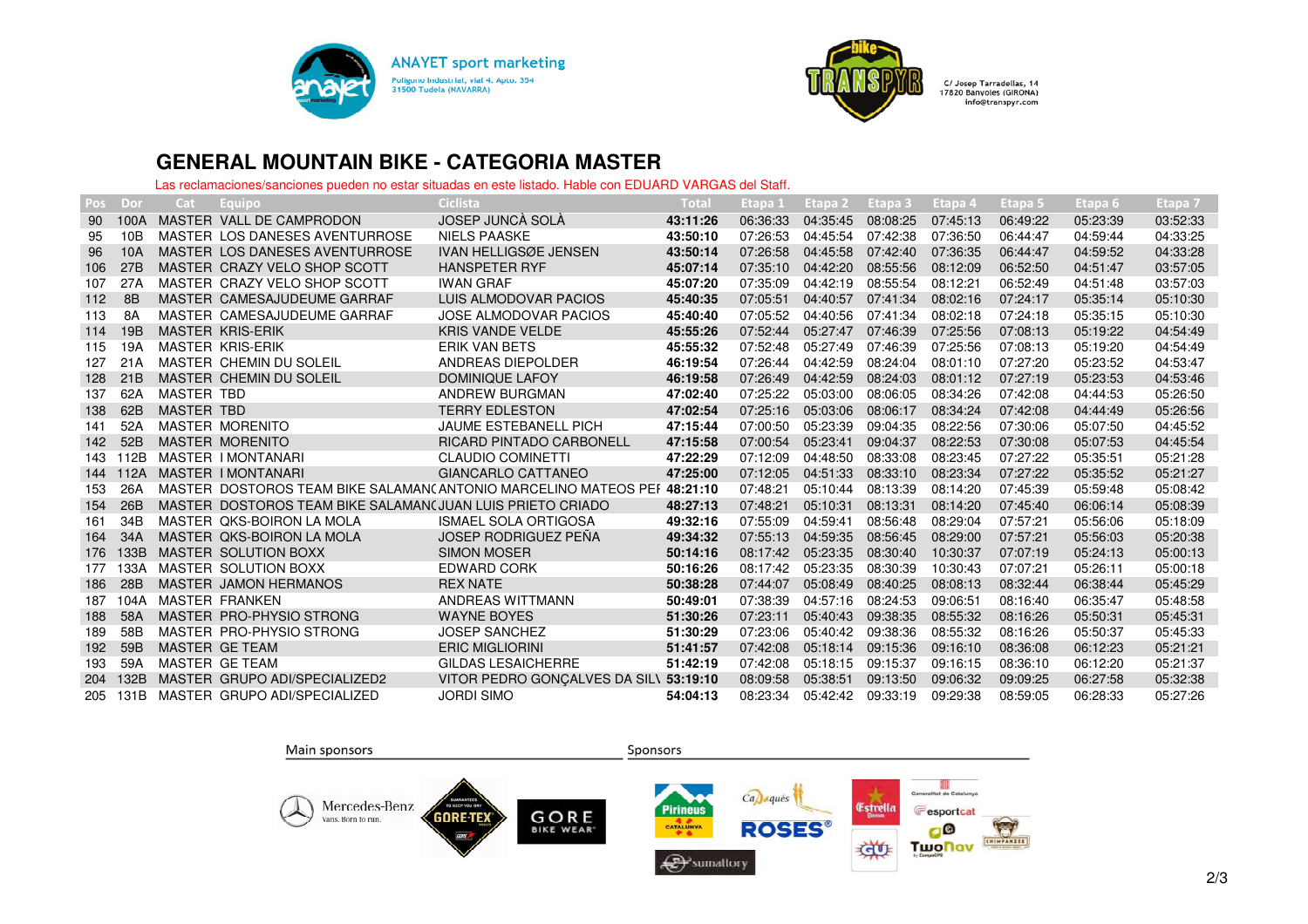



## **GENERAL MOUNTAIN BIKE - CATEGORIA MASTER**

Las reclamaciones/sanciones pueden no estar situadas en este listado. Hable con EDUARD VARGAS del Staff.

| Pos | Dor  | Cat               | Equipo                                                    | Ciclista                                                                | Total    | Etapa 1  | Etapa 2  | Etapa 3  | Etapa 4  | Etapa 5  | Etapa <sub>6</sub> | Etapa 7  |
|-----|------|-------------------|-----------------------------------------------------------|-------------------------------------------------------------------------|----------|----------|----------|----------|----------|----------|--------------------|----------|
| 90  | 100A |                   | MASTER VALL DE CAMPRODON                                  | JOSEP JUNCÀ SOLÀ                                                        | 43:11:26 | 06:36:33 | 04:35:45 | 08:08:25 | 07:45:13 | 06:49:22 | 05:23:39           | 03:52:33 |
| 95  | 10B  |                   | MASTER LOS DANESES AVENTURROSE                            | <b>NIELS PAASKE</b>                                                     | 43:50:10 | 07:26:53 | 04:45:54 | 07:42:38 | 07:36:50 | 06:44:47 | 04:59:44           | 04:33:25 |
| 96  | 10A  |                   | MASTER LOS DANESES AVENTURROSE                            | <b>IVAN HELLIGSØE JENSEN</b>                                            | 43:50:14 | 07:26:58 | 04:45:58 | 07:42:40 | 07:36:35 | 06:44:47 | 04:59:52           | 04:33:28 |
| 106 | 27B  |                   | MASTER CRAZY VELO SHOP SCOTT                              | <b>HANSPETER RYF</b>                                                    | 45:07:14 | 07:35:10 | 04:42:20 | 08:55:56 | 08:12:09 | 06:52:50 | 04:51:47           | 03:57:05 |
| 107 | 27A  |                   | MASTER CRAZY VELO SHOP SCOTT                              | <b>IWAN GRAF</b>                                                        | 45:07:20 | 07:35:09 | 04:42:19 | 08:55:54 | 08:12:21 | 06:52:49 | 04:51:48           | 03:57:03 |
| 112 | 8B   |                   | MASTER CAMESAJUDEUME GARRAF                               | LUIS ALMODOVAR PACIOS                                                   | 45:40:35 | 07:05:51 | 04:40:57 | 07:41:34 | 08:02:16 | 07:24:17 | 05:35:14           | 05:10:30 |
| 113 | 8A   |                   | MASTER CAMESAJUDEUME GARRAF                               | <b>JOSE ALMODOVAR PACIOS</b>                                            | 45:40:40 | 07:05:52 | 04:40:56 | 07:41:34 | 08:02:18 | 07:24:18 | 05:35:15           | 05:10:30 |
| 114 | 19B  |                   | <b>MASTER KRIS-ERIK</b>                                   | <b>KRIS VANDE VELDE</b>                                                 | 45:55:26 | 07:52:44 | 05:27:47 | 07:46:39 | 07:25:56 | 07:08:13 | 05:19:22           | 04:54:49 |
| 115 | 19A  |                   | <b>MASTER KRIS-ERIK</b>                                   | <b>ERIK VAN BETS</b>                                                    | 45:55:32 | 07:52:48 | 05:27:49 | 07:46:39 | 07:25:56 | 07:08:13 | 05:19:20           | 04:54:49 |
| 127 | 21A  |                   | MASTER CHEMIN DU SOLEIL                                   | ANDREAS DIEPOLDER                                                       | 46:19:54 | 07:26:44 | 04:42:59 | 08:24:04 | 08:01:10 | 07:27:20 | 05:23:52           | 04:53:47 |
| 128 | 21B  |                   | MASTER CHEMIN DU SOLEIL                                   | DOMINIQUE LAFOY                                                         | 46:19:58 | 07:26:49 | 04:42:59 | 08:24:03 | 08:01:12 | 07:27:19 | 05:23:53           | 04:53:46 |
| 137 | 62A  | <b>MASTER TBD</b> |                                                           | ANDREW BURGMAN                                                          | 47:02:40 | 07:25:22 | 05:03:00 | 08:06:05 | 08:34:26 | 07:42:08 | 04:44:53           | 05:26:50 |
| 138 | 62B  | <b>MASTER TBD</b> |                                                           | <b>TERRY EDLESTON</b>                                                   | 47:02:54 | 07:25:16 | 05:03:06 | 08:06:17 | 08:34:24 | 07:42:08 | 04:44:49           | 05:26:56 |
| 141 | 52A  |                   | <b>MASTER MORENITO</b>                                    | <b>JAUME ESTEBANELL PICH</b>                                            | 47:15:44 | 07:00:50 | 05:23:39 | 09:04:35 | 08:22:56 | 07:30:06 | 05:07:50           | 04:45:52 |
| 142 | 52B  |                   | <b>MASTER MORENITO</b>                                    | <b>RICARD PINTADO CARBONELL</b>                                         | 47:15:58 | 07:00:54 | 05:23:41 | 09:04:37 | 08:22:53 | 07:30:08 | 05:07:53           | 04:45:54 |
| 143 | 112B |                   | MASTER I MONTANARI                                        | <b>CLAUDIO COMINETTI</b>                                                | 47:22:29 | 07:12:09 | 04:48:50 | 08:33:08 | 08:23:45 | 07:27:22 | 05:35:51           | 05:21:28 |
| 144 | 112A |                   | <b>MASTER IMONTANARI</b>                                  | <b>GIANCARLO CATTANEO</b>                                               | 47:25:00 | 07:12:05 | 04:51:33 | 08:33:10 | 08:23:34 | 07:27:22 | 05:35:52           | 05:21:27 |
| 153 | 26A  |                   |                                                           | MASTER DOSTOROS TEAM BIKE SALAMAN(ANTONIO MARCELINO MATEOS PEF 48:21:10 |          | 07:48:21 | 05:10:44 | 08:13:39 | 08:14:20 | 07:45:39 | 05:59:48           | 05:08:42 |
| 154 | 26B  |                   | MASTER DOSTOROS TEAM BIKE SALAMAN(JUAN LUIS PRIETO CRIADO |                                                                         | 48:27:13 | 07:48:21 | 05:10:31 | 08:13:31 | 08:14:20 | 07:45:40 | 06:06:14           | 05:08:39 |
| 161 | 34B  |                   | MASTER QKS-BOIRON LA MOLA                                 | <b>ISMAEL SOLA ORTIGOSA</b>                                             | 49:32:16 | 07:55:09 | 04:59:41 | 08:56:48 | 08:29:04 | 07:57:21 | 05:56:06           | 05:18:09 |
| 164 | 34A  |                   | MASTER QKS-BOIRON LA MOLA                                 | <b>JOSEP RODRIGUEZ PENA</b>                                             | 49:34:32 | 07:55:13 | 04:59:35 | 08:56:45 | 08:29:00 | 07:57:21 | 05:56:03           | 05:20:38 |
| 176 | 133B |                   | MASTER SOLUTION BOXX                                      | <b>SIMON MOSER</b>                                                      | 50:14:16 | 08:17:42 | 05:23:35 | 08:30:40 | 10:30:37 | 07:07:19 | 05:24:13           | 05:00:13 |
| 177 | 133A |                   | MASTER SOLUTION BOXX                                      | <b>EDWARD CORK</b>                                                      | 50:16:26 | 08:17:42 | 05:23:35 | 08:30:39 | 10:30:43 | 07:07:21 | 05:26:11           | 05:00:18 |
| 186 | 28B  |                   | MASTER JAMON HERMANOS                                     | <b>REX NATE</b>                                                         | 50:38:28 | 07:44:07 | 05:08:49 | 08:40:25 | 08:08:13 | 08:32:44 | 06:38:44           | 05:45:29 |
| 187 | 104A |                   | <b>MASTER FRANKEN</b>                                     | ANDREAS WITTMANN                                                        | 50:49:01 | 07:38:39 | 04:57:16 | 08:24:53 | 09:06:51 | 08:16:40 | 06:35:47           | 05:48:58 |
| 188 | 58A  |                   | MASTER PRO-PHYSIO STRONG                                  | <b>WAYNE BOYES</b>                                                      | 51:30:26 | 07:23:11 | 05:40:43 | 09:38:35 | 08:55:32 | 08:16:26 | 05:50:31           | 05:45:31 |
| 189 | 58B  |                   | MASTER PRO-PHYSIO STRONG                                  | <b>JOSEP SANCHEZ</b>                                                    | 51:30:29 | 07:23:06 | 05:40:42 | 09:38:36 | 08:55:32 | 08:16:26 | 05:50:37           | 05:45:33 |
| 192 | 59B  |                   | MASTER GE TEAM                                            | <b>ERIC MIGLIORINI</b>                                                  | 51:41:57 | 07:42:08 | 05:18:14 | 09:15:36 | 09:16:10 | 08:36:08 | 06:12:23           | 05:21:21 |
| 193 | 59A  |                   | MASTER GE TEAM                                            | <b>GILDAS LESAICHERRE</b>                                               | 51:42:19 | 07:42:08 | 05:18:15 | 09:15:37 | 09:16:15 | 08:36:10 | 06:12:20           | 05:21:37 |
| 204 | 132B |                   | MASTER GRUPO ADI/SPECIALIZED2                             | VITOR PEDRO GONÇALVES DA SILV                                           | 53:19:10 | 08:09:58 | 05:38:51 | 09:13:50 | 09:06:32 | 09:09:25 | 06:27:58           | 05:32:38 |
| 205 | 131B |                   | MASTER GRUPO ADI/SPECIALIZED                              | <b>JORDI SIMO</b>                                                       | 54:04:13 | 08:23:34 | 05:42:42 | 09:33:19 | 09:29:38 | 08:59:05 | 06:28:33           | 05:27:26 |